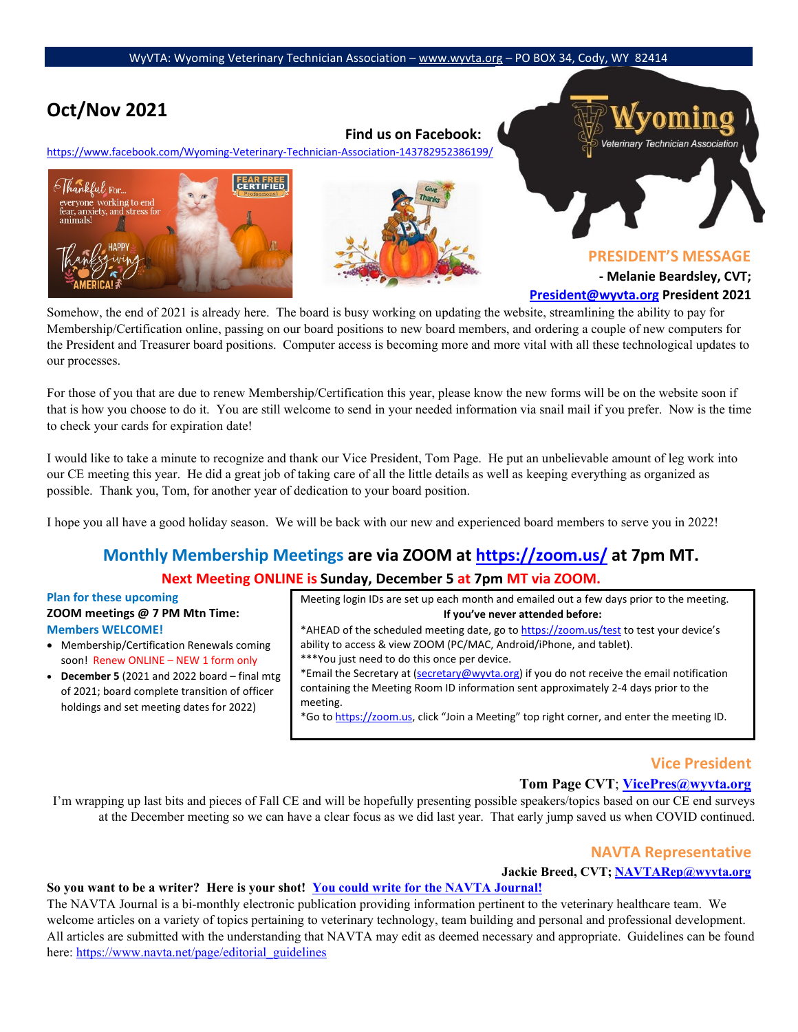# **Oct/Nov 2021**

# **Find us on Facebook:**

<https://www.facebook.com/Wyoming-Veterinary-Technician-Association-143782952386199/>





Veterinary Technician Association

**PRESIDENT'S MESSAGE** 

**- Melanie Beardsley, CVT;** 

**President@wyvta.org President 2021**

Somehow, the end of 2021 is already here. The board is busy working on updating the website, streamlining the ability to pay for Membership/Certification online, passing on our board positions to new board members, and ordering a couple of new computers for the President and Treasurer board positions. Computer access is becoming more and more vital with all these technological updates to our processes.

For those of you that are due to renew Membership/Certification this year, please know the new forms will be on the website soon if that is how you choose to do it. You are still welcome to send in your needed information via snail mail if you prefer. Now is the time to check your cards for expiration date!

I would like to take a minute to recognize and thank our Vice President, Tom Page. He put an unbelievable amount of leg work into our CE meeting this year. He did a great job of taking care of all the little details as well as keeping everything as organized as possible. Thank you, Tom, for another year of dedication to your board position.

I hope you all have a good holiday season. We will be back with our new and experienced board members to serve you in 2022!

# **Monthly Membership Meetings are via ZOOM [at https://zoom.us/](https://zoom.us/) [a](https://zoom.us/)t 7pm MT.**

# **Next Meeting ONLINE is Sunday, December 5 at 7pm MT via ZOOM.**

## **Plan for these upcoming ZOOM meetings @ 7 PM Mtn Time: Members WELCOME!**

- Membership/Certification Renewals coming soon! Renew ONLINE - NEW 1 form only
- **December 5** (2021 and 2022 board final mtg of 2021; board complete transition of officer holdings and set meeting dates for 2022)

Meeting login IDs are set up each month and emailed out a few days prior to the meeting. **If you've never attended before:** \*AHEAD of the scheduled meeting date, go [to https://zoom.us/test](https://zoom.us/test) [to](https://zoom.us/test) test your device's

ability to access & view ZOOM (PC/MAC, Android/iPhone, and tablet). \*\*\*You just need to do this once per device.

\*Email the Secretary at (secretary@wyvta.org) if you do not receive the email notification containing the Meeting Room ID information sent approximately 2-4 days prior to the meeting.

\*Go [to https://zoom.us,](https://zoom.us/) click "Join a Meeting" top right corner, and enter the meeting ID.

# **Vice President**

# **Tom Page CVT**; **VicePres@wyvta.org**

I'm wrapping up last bits and pieces of Fall CE and will be hopefully presenting possible speakers/topics based on our CE end surveys at the December meeting so we can have a clear focus as we did last year. That early jump saved us when COVID continued.

# **NAVTA Representative**

## **Jackie Breed, CVT; [NAVTARep@wyvta.org](mailto:NAVTARep@wyvta.org)**

# **So you want to be a writer? Here is your shot! [You could write for the NAVTA Journal!](https://www.addthis.com/bookmark.php?v=250&pub=yourmembership)**

The NAVTA Journal is a bi-monthly electronic publication providing information pertinent to the veterinary healthcare team. We welcome articles on a variety of topics pertaining to veterinary technology, team building and personal and professional development. All articles are submitted with the understanding that NAVTA may edit as deemed necessary and appropriate. Guidelines can be found here[: https://www.navta.net/page/editorial\\_guidelines](https://www.navta.net/page/editorial_guidelines)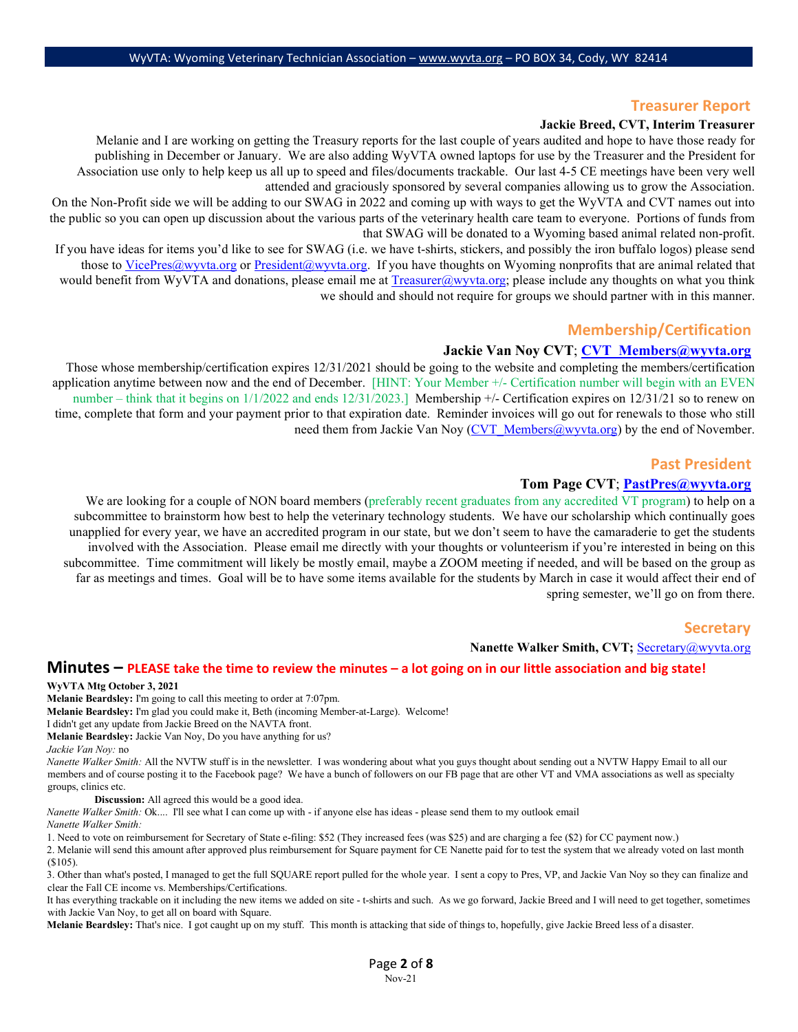# **Treasurer Report**

#### **Jackie Breed, CVT, Interim Treasurer**

Melanie and I are working on getting the Treasury reports for the last couple of years audited and hope to have those ready for publishing in December or January. We are also adding WyVTA owned laptops for use by the Treasurer and the President for Association use only to help keep us all up to speed and files/documents trackable. Our last 4-5 CE meetings have been very well attended and graciously sponsored by several companies allowing us to grow the Association.

On the Non-Profit side we will be adding to our SWAG in 2022 and coming up with ways to get the WyVTA and CVT names out into the public so you can open up discussion about the various parts of the veterinary health care team to everyone. Portions of funds from that SWAG will be donated to a Wyoming based animal related non-profit.

If you have ideas for items you'd like to see for SWAG (i.e. we have t-shirts, stickers, and possibly the iron buffalo logos) please send those to [VicePres@wyvta.org](mailto:VicePres@wyvta.org) or [President@wyvta.org.](mailto:President@wyvta.org) If you have thoughts on Wyoming nonprofits that are animal related that would benefit from WyVTA and donations, please email me at  $T_{\text{reasure}}(a)$  wyvta.org; please include any thoughts on what you think we should and should not require for groups we should partner with in this manner.

# **Membership/Certification**

## **Jackie Van Noy CVT**; **[CVT\\_Members@wyvta.org](mailto:CVT_Members@wyvta.org)**

Those whose membership/certification expires 12/31/2021 should be going to the website and completing the members/certification application anytime between now and the end of December. [HINT: Your Member +/- Certification number will begin with an EVEN number – think that it begins on  $1/1/2022$  and ends  $12/31/2023$ .] Membership +/- Certification expires on  $12/31/21$  so to renew on time, complete that form and your payment prior to that expiration date. Reminder invoices will go out for renewals to those who still need them from Jackie Van Noy [\(CVT\\_Members@wyvta.org\)](mailto:CVT_Members@wyvta.org) by the end of November.

## **Past President**

### **Tom Page CVT**; **[PastPres@wyvta.org](mailto:PastPres@wyvta.org)**

We are looking for a couple of NON board members (preferably recent graduates from any accredited VT program) to help on a subcommittee to brainstorm how best to help the veterinary technology students. We have our scholarship which continually goes unapplied for every year, we have an accredited program in our state, but we don't seem to have the camaraderie to get the students involved with the Association. Please email me directly with your thoughts or volunteerism if you're interested in being on this subcommittee. Time commitment will likely be mostly email, maybe a ZOOM meeting if needed, and will be based on the group as far as meetings and times. Goal will be to have some items available for the students by March in case it would affect their end of spring semester, we'll go on from there.

## **Secretary**

#### **Nanette Walker Smith, CVT;** Secretary@wyvta.org

# **Minutes – PLEASE take the time to review the minutes – a lot going on in our little association and big state!**

#### **WyVTA Mtg October 3, 2021**

**Melanie Beardsley:** I'm going to call this meeting to order at 7:07pm.

**Melanie Beardsley:** I'm glad you could make it, Beth (incoming Member-at-Large). Welcome!

I didn't get any update from Jackie Breed on the NAVTA front.

**Melanie Beardsley:** Jackie Van Noy, Do you have anything for us?

*Jackie Van Noy:* no

*Nanette Walker Smith:* All the NVTW stuff is in the newsletter. I was wondering about what you guys thought about sending out a NVTW Happy Email to all our members and of course posting it to the Facebook page? We have a bunch of followers on our FB page that are other VT and VMA associations as well as specialty groups, clinics etc.

**Discussion:** All agreed this would be a good idea.

*Nanette Walker Smith:* Ok.... I'll see what I can come up with - if anyone else has ideas - please send them to my outlook email

*Nanette Walker Smith:*

1. Need to vote on reimbursement for Secretary of State e-filing: \$52 (They increased fees (was \$25) and are charging a fee (\$2) for CC payment now.)

2. Melanie will send this amount after approved plus reimbursement for Square payment for CE Nanette paid for to test the system that we already voted on last month (\$105).

3. Other than what's posted, I managed to get the full SQUARE report pulled for the whole year. I sent a copy to Pres, VP, and Jackie Van Noy so they can finalize and clear the Fall CE income vs. Memberships/Certifications.

It has everything trackable on it including the new items we added on site - t-shirts and such. As we go forward, Jackie Breed and I will need to get together, sometimes with Jackie Van Noy, to get all on board with Square.

**Melanie Beardsley:** That's nice. I got caught up on my stuff. This month is attacking that side of things to, hopefully, give Jackie Breed less of a disaster.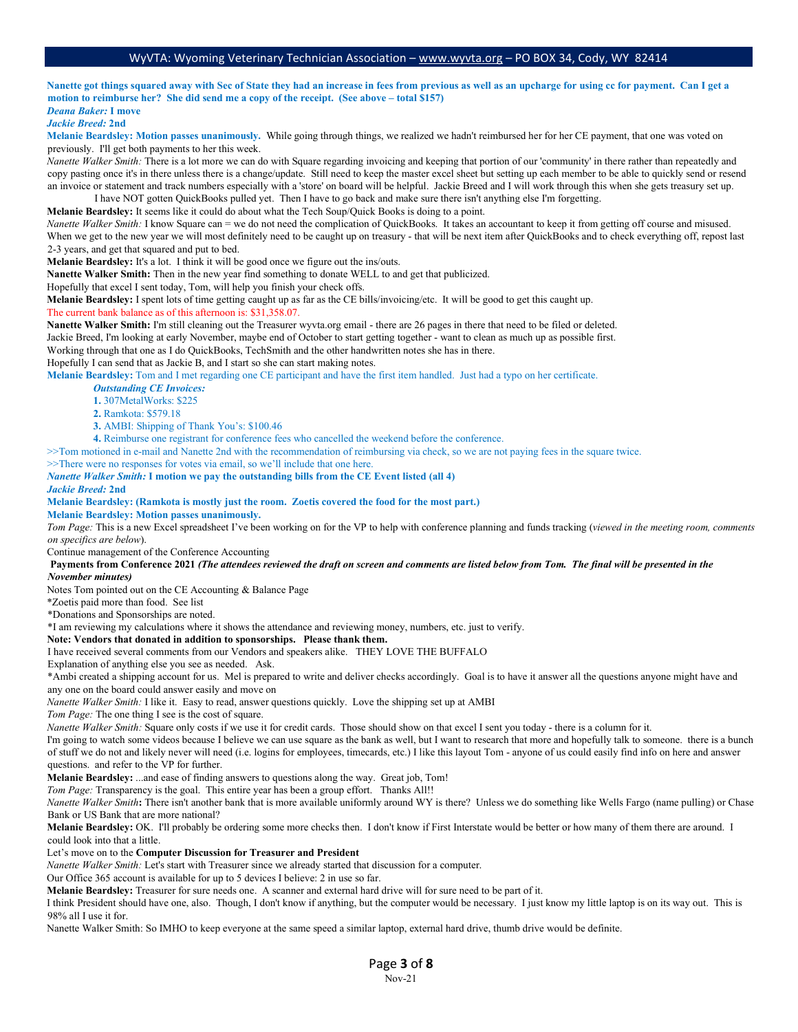**Nanette got things squared away with Sec of State they had an increase in fees from previous as well as an upcharge for using cc for payment. Can I get a motion to reimburse her? She did send me a copy of the receipt. (See above – total \$157)** *Deana Baker:* **I move**

# *Jackie Breed:* **2nd**

**Melanie Beardsley: Motion passes unanimously.** While going through things, we realized we hadn't reimbursed her for her CE payment, that one was voted on previously. I'll get both payments to her this week.

*Nanette Walker Smith:* There is a lot more we can do with Square regarding invoicing and keeping that portion of our 'community' in there rather than repeatedly and copy pasting once it's in there unless there is a change/update. Still need to keep the master excel sheet but setting up each member to be able to quickly send or resend an invoice or statement and track numbers especially with a 'store' on board will be helpful. Jackie Breed and I will work through this when she gets treasury set up. I have NOT gotten QuickBooks pulled yet. Then I have to go back and make sure there isn't anything else I'm forgetting.

**Melanie Beardsley:** It seems like it could do about what the Tech Soup/Quick Books is doing to a point.

*Nanette Walker Smith:* I know Square can = we do not need the complication of QuickBooks. It takes an accountant to keep it from getting off course and misused. When we get to the new year we will most definitely need to be caught up on treasury - that will be next item after QuickBooks and to check everything off, repost last 2-3 years, and get that squared and put to bed.

**Melanie Beardsley:** It's a lot. I think it will be good once we figure out the ins/outs.

**Nanette Walker Smith:** Then in the new year find something to donate WELL to and get that publicized.

Hopefully that excel I sent today, Tom, will help you finish your check offs.

**Melanie Beardsley:** I spent lots of time getting caught up as far as the CE bills/invoicing/etc. It will be good to get this caught up.

The current bank balance as of this afternoon is: \$31,358.07.

**Nanette Walker Smith:** I'm still cleaning out the Treasurer wyvta.org email - there are 26 pages in there that need to be filed or deleted.

Jackie Breed, I'm looking at early November, maybe end of October to start getting together - want to clean as much up as possible first.

Working through that one as I do QuickBooks, TechSmith and the other handwritten notes she has in there.

Hopefully I can send that as Jackie B, and I start so she can start making notes.

**Melanie Beardsley:** Tom and I met regarding one CE participant and have the first item handled. Just had a typo on her certificate.

*Outstanding CE Invoices:* 

**1.** 307MetalWorks: \$225

**2.** Ramkota: \$579.18

**3.** AMBI: Shipping of Thank You's: \$100.46

**4.** Reimburse one registrant for conference fees who cancelled the weekend before the conference.

>>Tom motioned in e-mail and Nanette 2nd with the recommendation of reimbursing via check, so we are not paying fees in the square twice.

>>There were no responses for votes via email, so we'll include that one here.

*Nanette Walker Smith:* **I motion we pay the outstanding bills from the CE Event listed (all 4)**

#### *Jackie Breed:* **2nd**

**Melanie Beardsley: (Ramkota is mostly just the room. Zoetis covered the food for the most part.)**

**Melanie Beardsley: Motion passes unanimously.**

*Tom Page:* This is a new Excel spreadsheet I've been working on for the VP to help with conference planning and funds tracking (*viewed in the meeting room, comments on specifics are below*).

Continue management of the Conference Accounting

**Payments from Conference 2021** *(The attendees reviewed the draft on screen and comments are listed below from Tom. The final will be presented in the November minutes)*

Notes Tom pointed out on the CE Accounting & Balance Page

\*Zoetis paid more than food. See list

\*Donations and Sponsorships are noted.

\*I am reviewing my calculations where it shows the attendance and reviewing money, numbers, etc. just to verify.

**Note: Vendors that donated in addition to sponsorships. Please thank them.**

I have received several comments from our Vendors and speakers alike. THEY LOVE THE BUFFALO

Explanation of anything else you see as needed. Ask.

\*Ambi created a shipping account for us. Mel is prepared to write and deliver checks accordingly. Goal is to have it answer all the questions anyone might have and any one on the board could answer easily and move on

*Nanette Walker Smith:* I like it. Easy to read, answer questions quickly. Love the shipping set up at AMBI

*Tom Page:* The one thing I see is the cost of square.

*Nanette Walker Smith:* Square only costs if we use it for credit cards. Those should show on that excel I sent you today - there is a column for it.

I'm going to watch some videos because I believe we can use square as the bank as well, but I want to research that more and hopefully talk to someone. there is a bunch of stuff we do not and likely never will need (i.e. logins for employees, timecards, etc.) I like this layout Tom - anyone of us could easily find info on here and answer questions. and refer to the VP for further.

**Melanie Beardsley:** ...and ease of finding answers to questions along the way. Great job, Tom!

*Tom Page:* Transparency is the goal. This entire year has been a group effort. Thanks All!!

*Nanette Walker Smith***:** There isn't another bank that is more available uniformly around WY is there? Unless we do something like Wells Fargo (name pulling) or Chase Bank or US Bank that are more national?

**Melanie Beardsley:** OK. I'll probably be ordering some more checks then. I don't know if First Interstate would be better or how many of them there are around. I could look into that a little.

#### Let's move on to the **Computer Discussion for Treasurer and President**

*Nanette Walker Smith:* Let's start with Treasurer since we already started that discussion for a computer.

Our Office 365 account is available for up to 5 devices I believe: 2 in use so far.

**Melanie Beardsley:** Treasurer for sure needs one. A scanner and external hard drive will for sure need to be part of it.

I think President should have one, also. Though, I don't know if anything, but the computer would be necessary. I just know my little laptop is on its way out. This is 98% all I use it for.

Nanette Walker Smith: So IMHO to keep everyone at the same speed a similar laptop, external hard drive, thumb drive would be definite.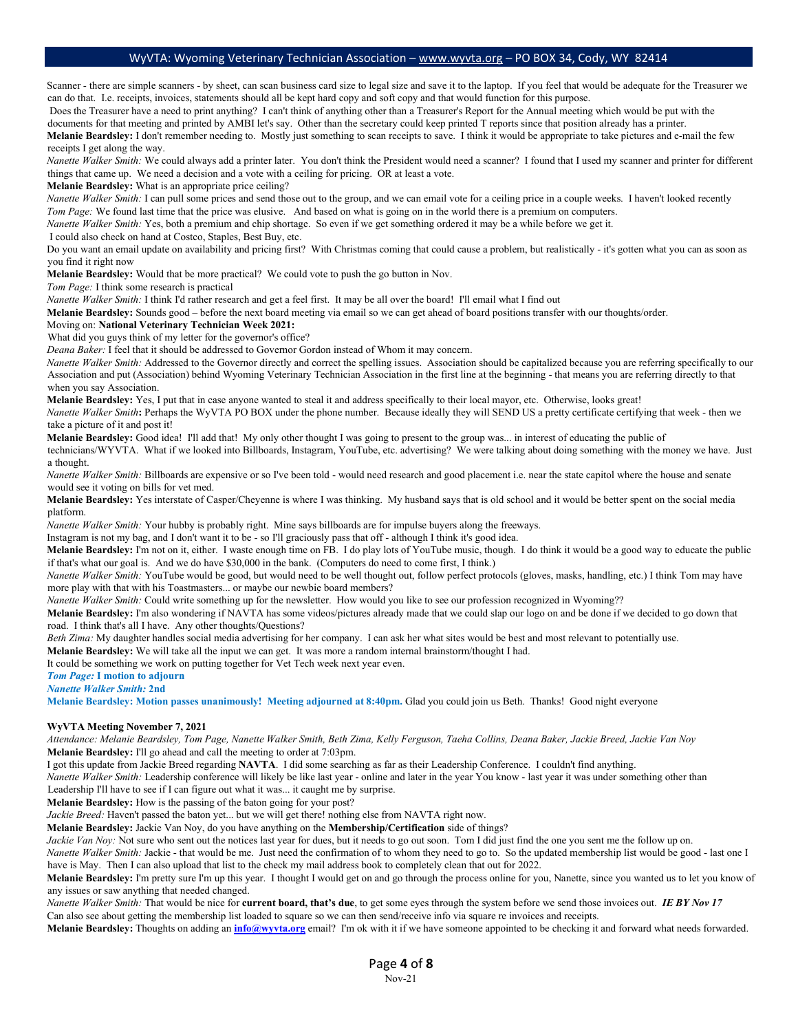Scanner - there are simple scanners - by sheet, can scan business card size to legal size and save it to the laptop. If you feel that would be adequate for the Treasurer we can do that. I.e. receipts, invoices, statements should all be kept hard copy and soft copy and that would function for this purpose.

Does the Treasurer have a need to print anything? I can't think of anything other than a Treasurer's Report for the Annual meeting which would be put with the documents for that meeting and printed by AMBI let's say. Other than the secretary could keep printed T reports since that position already has a printer.

**Melanie Beardsley:** I don't remember needing to. Mostly just something to scan receipts to save. I think it would be appropriate to take pictures and e-mail the few receipts I get along the way.

*Nanette Walker Smith:* We could always add a printer later. You don't think the President would need a scanner? I found that I used my scanner and printer for different things that came up. We need a decision and a vote with a ceiling for pricing. OR at least a vote.

**Melanie Beardsley:** What is an appropriate price ceiling?

*Nanette Walker Smith:* I can pull some prices and send those out to the group, and we can email vote for a ceiling price in a couple weeks. I haven't looked recently *Tom Page:* We found last time that the price was elusive. And based on what is going on in the world there is a premium on computers.

*Nanette Walker Smith:* Yes, both a premium and chip shortage. So even if we get something ordered it may be a while before we get it.

I could also check on hand at Costco, Staples, Best Buy, etc.

Do you want an email update on availability and pricing first? With Christmas coming that could cause a problem, but realistically - it's gotten what you can as soon as you find it right now

**Melanie Beardsley:** Would that be more practical? We could vote to push the go button in Nov.

*Tom Page:* I think some research is practical

*Nanette Walker Smith:* I think I'd rather research and get a feel first. It may be all over the board! I'll email what I find out

**Melanie Beardsley:** Sounds good – before the next board meeting via email so we can get ahead of board positions transfer with our thoughts/order.

#### Moving on: **National Veterinary Technician Week 2021:**

What did you guys think of my letter for the governor's office?

*Deana Baker:* I feel that it should be addressed to Governor Gordon instead of Whom it may concern.

*Nanette Walker Smith:* Addressed to the Governor directly and correct the spelling issues. Association should be capitalized because you are referring specifically to our Association and put (Association) behind Wyoming Veterinary Technician Association in the first line at the beginning - that means you are referring directly to that when you say Association.

**Melanie Beardsley:** Yes, I put that in case anyone wanted to steal it and address specifically to their local mayor, etc. Otherwise, looks great!

*Nanette Walker Smith***:** Perhaps the WyVTA PO BOX under the phone number. Because ideally they will SEND US a pretty certificate certifying that week - then we take a picture of it and post it!

**Melanie Beardsley:** Good idea! I'll add that! My only other thought I was going to present to the group was... in interest of educating the public of

technicians/WYVTA. What if we looked into Billboards, Instagram, YouTube, etc. advertising? We were talking about doing something with the money we have. Just a thought.

*Nanette Walker Smith:* Billboards are expensive or so I've been told - would need research and good placement i.e. near the state capitol where the house and senate would see it voting on bills for vet med.

**Melanie Beardsley:** Yes interstate of Casper/Cheyenne is where I was thinking. My husband says that is old school and it would be better spent on the social media platform.

*Nanette Walker Smith:* Your hubby is probably right. Mine says billboards are for impulse buyers along the freeways.

Instagram is not my bag, and I don't want it to be - so I'll graciously pass that off - although I think it's good idea.

**Melanie Beardsley:** I'm not on it, either. I waste enough time on FB. I do play lots of YouTube music, though. I do think it would be a good way to educate the public if that's what our goal is. And we do have \$30,000 in the bank. (Computers do need to come first, I think.)

*Nanette Walker Smith:* YouTube would be good, but would need to be well thought out, follow perfect protocols (gloves, masks, handling, etc.) I think Tom may have more play with that with his Toastmasters... or maybe our newbie board members?

*Nanette Walker Smith:* Could write something up for the newsletter. How would you like to see our profession recognized in Wyoming??

**Melanie Beardsley:** I'm also wondering if NAVTA has some videos/pictures already made that we could slap our logo on and be done if we decided to go down that road.I think that's all I have. Any other thoughts/Questions?

*Beth Zima:* My daughter handles social media advertising for her company. I can ask her what sites would be best and most relevant to potentially use.

**Melanie Beardsley:** We will take all the input we can get. It was more a random internal brainstorm/thought I had.

It could be something we work on putting together for Vet Tech week next year even.

*Tom Page:* **I motion to adjourn**

*Nanette Walker Smith:* **2nd**

**Melanie Beardsley: Motion passes unanimously! Meeting adjourned at 8:40pm.** Glad you could join us Beth. Thanks! Good night everyone

#### **WyVTA Meeting November 7, 2021**

*Attendance: Melanie Beardsley, Tom Page, Nanette Walker Smith, Beth Zima, Kelly Ferguson, Taeha Collins, Deana Baker, Jackie Breed, Jackie Van Noy* **Melanie Beardsley:** I'll go ahead and call the meeting to order at 7:03pm.

I got this update from Jackie Breed regarding **NAVTA**. I did some searching as far as their Leadership Conference. I couldn't find anything.

*Nanette Walker Smith:* Leadership conference will likely be like last year - online and later in the year You know - last year it was under something other than Leadership I'll have to see if I can figure out what it was... it caught me by surprise.

**Melanie Beardsley:** How is the passing of the baton going for your post?

*Jackie Breed:* Haven't passed the baton yet... but we will get there! nothing else from NAVTA right now.

**Melanie Beardsley:** Jackie Van Noy, do you have anything on the **Membership/Certification** side of things?

*Jackie Van Noy:* Not sure who sent out the notices last year for dues, but it needs to go out soon. Tom I did just find the one you sent me the follow up on.

*Nanette Walker Smith:* Jackie - that would be me. Just need the confirmation of to whom they need to go to. So the updated membership list would be good - last one I have is May. Then I can also upload that list to the check my mail address book to completely clean that out for 2022.

**Melanie Beardsley:** I'm pretty sure I'm up this year. I thought I would get on and go through the process online for you, Nanette, since you wanted us to let you know of any issues or saw anything that needed changed.

*Nanette Walker Smith:* That would be nice for **current board, that's due**, to get some eyes through the system before we send those invoices out. *IE BY Nov 17* Can also see about getting the membership list loaded to square so we can then send/receive info via square re invoices and receipts.

**Melanie Beardsley:** Thoughts on adding an **[info@wyvta.org](mailto:info@wyvta.org)** email? I'm ok with it if we have someone appointed to be checking it and forward what needs forwarded.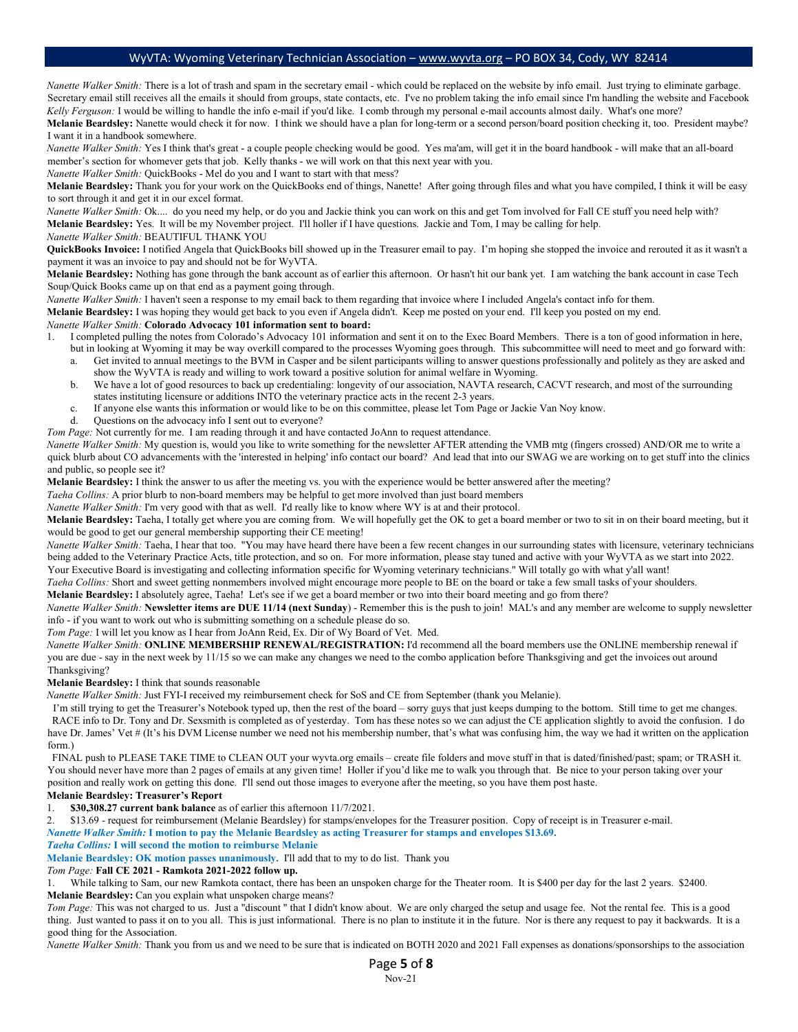*Nanette Walker Smith:* There is a lot of trash and spam in the secretary email - which could be replaced on the website by info email. Just trying to eliminate garbage. Secretary email still receives all the emails it should from groups, state contacts, etc. I've no problem taking the info email since I'm handling the website and Facebook *Kelly Ferguson:* I would be willing to handle the info e-mail if you'd like. I comb through my personal e-mail accounts almost daily. What's one more?

**Melanie Beardsley:** Nanette would check it for now. I think we should have a plan for long-term or a second person/board position checking it, too. President maybe? I want it in a handbook somewhere.

*Nanette Walker Smith:* Yes I think that's great - a couple people checking would be good. Yes ma'am, will get it in the board handbook - will make that an all-board member's section for whomever gets that job. Kelly thanks - we will work on that this next year with you.

*Nanette Walker Smith:* QuickBooks - Mel do you and I want to start with that mess?

**Melanie Beardsley:** Thank you for your work on the QuickBooks end of things, Nanette! After going through files and what you have compiled, I think it will be easy to sort through it and get it in our excel format.

*Nanette Walker Smith:* Ok.... do you need my help, or do you and Jackie think you can work on this and get Tom involved for Fall CE stuff you need help with? **Melanie Beardsley:** Yes. It will be my November project. I'll holler if I have questions. Jackie and Tom, I may be calling for help.

*Nanette Walker Smith:* BEAUTIFUL THANK YOU

**QuickBooks Invoice:** I notified Angela that QuickBooks bill showed up in the Treasurer email to pay. I'm hoping she stopped the invoice and rerouted it as it wasn't a payment it was an invoice to pay and should not be for WyVTA.

**Melanie Beardsley:** Nothing has gone through the bank account as of earlier this afternoon. Or hasn't hit our bank yet. I am watching the bank account in case Tech Soup/Quick Books came up on that end as a payment going through.

*Nanette Walker Smith:* I haven't seen a response to my email back to them regarding that invoice where I included Angela's contact info for them.

**Melanie Beardsley:** I was hoping they would get back to you even if Angela didn't. Keep me posted on your end. I'll keep you posted on my end.

# *Nanette Walker Smith:* **Colorado Advocacy 101 information sent to board:**

1. I completed pulling the notes from Colorado's Advocacy 101 information and sent it on to the Exec Board Members. There is a ton of good information in here, but in looking at Wyoming it may be way overkill compared to the processes Wyoming goes through. This subcommittee will need to meet and go forward with:

- a. Get invited to annual meetings to the BVM in Casper and be silent participants willing to answer questions professionally and politely as they are asked and show the WyVTA is ready and willing to work toward a positive solution for animal welfare in Wyoming.
- b. We have a lot of good resources to back up credentialing: longevity of our association, NAVTA research, CACVT research, and most of the surrounding states instituting licensure or additions INTO the veterinary practice acts in the recent 2-3 years.
- c. If anyone else wants this information or would like to be on this committee, please let Tom Page or Jackie Van Noy know.
- d. Questions on the advocacy info I sent out to everyone?

*Tom Page:* Not currently for me. I am reading through it and have contacted JoAnn to request attendance.

*Nanette Walker Smith:* My question is, would you like to write something for the newsletter AFTER attending the VMB mtg (fingers crossed) AND/OR me to write a quick blurb about CO advancements with the 'interested in helping' info contact our board? And lead that into our SWAG we are working on to get stuff into the clinics and public, so people see it?

**Melanie Beardsley:** I think the answer to us after the meeting vs. you with the experience would be better answered after the meeting?

*Taeha Collins:* A prior blurb to non-board members may be helpful to get more involved than just board members

*Nanette Walker Smith:* I'm very good with that as well. I'd really like to know where WY is at and their protocol.

**Melanie Beardsley:** Taeha, I totally get where you are coming from. We will hopefully get the OK to get a board member or two to sit in on their board meeting, but it would be good to get our general membership supporting their CE meeting!

*Nanette Walker Smith:* Taeha, I hear that too. "You may have heard there have been a few recent changes in our surrounding states with licensure, veterinary technicians being added to the Veterinary Practice Acts, title protection, and so on. For more information, please stay tuned and active with your WyVTA as we start into 2022. Your Executive Board is investigating and collecting information specific for Wyoming veterinary technicians." Will totally go with what y'all want!

*Taeha Collins:* Short and sweet getting nonmembers involved might encourage more people to BE on the board or take a few small tasks of your shoulders.

**Melanie Beardsley:** I absolutely agree, Taeha! Let's see if we get a board member or two into their board meeting and go from there?

*Nanette Walker Smith:* **Newsletter items are DUE 11/14 (next Sunday**) - Remember this is the push to join! MAL's and any member are welcome to supply newsletter info - if you want to work out who is submitting something on a schedule please do so.

*Tom Page:* I will let you know as I hear from JoAnn Reid, Ex. Dir of Wy Board of Vet. Med.

*Nanette Walker Smith:* **ONLINE MEMBERSHIP RENEWAL/REGISTRATION:** I'd recommend all the board members use the ONLINE membership renewal if you are due - say in the next week by 11/15 so we can make any changes we need to the combo application before Thanksgiving and get the invoices out around Thanksgiving?

**Melanie Beardsley:** I think that sounds reasonable

*Nanette Walker Smith:* Just FYI-I received my reimbursement check for SoS and CE from September (thank you Melanie).

 I'm still trying to get the Treasurer's Notebook typed up, then the rest of the board – sorry guys that just keeps dumping to the bottom. Still time to get me changes. RACE info to Dr. Tony and Dr. Sexsmith is completed as of yesterday. Tom has these notes so we can adjust the CE application slightly to avoid the confusion. I do have Dr. James' Vet # (It's his DVM License number we need not his membership number, that's what was confusing him, the way we had it written on the application form.)

 FINAL push to PLEASE TAKE TIME to CLEAN OUT your wyvta.org emails – create file folders and move stuff in that is dated/finished/past; spam; or TRASH it. You should never have more than 2 pages of emails at any given time! Holler if you'd like me to walk you through that. Be nice to your person taking over your position and really work on getting this done. I'll send out those images to everyone after the meeting, so you have them post haste.

## **Melanie Beardsley: Treasurer's Report**

1. **\$30,308.27 current bank balance** as of earlier this afternoon 11/7/2021.

2. \$13.69 - request for reimbursement (Melanie Beardsley) for stamps/envelopes for the Treasurer position. Copy of receipt is in Treasurer e-mail.

*Nanette Walker Smith:* **I motion to pay the Melanie Beardsley as acting Treasurer for stamps and envelopes \$13.69.**

#### *Taeha Collins:* **I will second the motion to reimburse Melanie**

**Melanie Beardsley: OK motion passes unanimously.** I'll add that to my to do list. Thank you

#### *Tom Page:* **Fall CE 2021 - Ramkota 2021-2022 follow up.**

1. While talking to Sam, our new Ramkota contact, there has been an unspoken charge for the Theater room. It is \$400 per day for the last 2 years. \$2400. **Melanie Beardsley:** Can you explain what unspoken charge means?

*Tom Page:* This was not charged to us. Just a "discount " that I didn't know about. We are only charged the setup and usage fee. Not the rental fee. This is a good thing. Just wanted to pass it on to you all. This is just informational. There is no plan to institute it in the future. Nor is there any request to pay it backwards. It is a good thing for the Association.

*Nanette Walker Smith:* Thank you from us and we need to be sure that is indicated on BOTH 2020 and 2021 Fall expenses as donations/sponsorships to the association

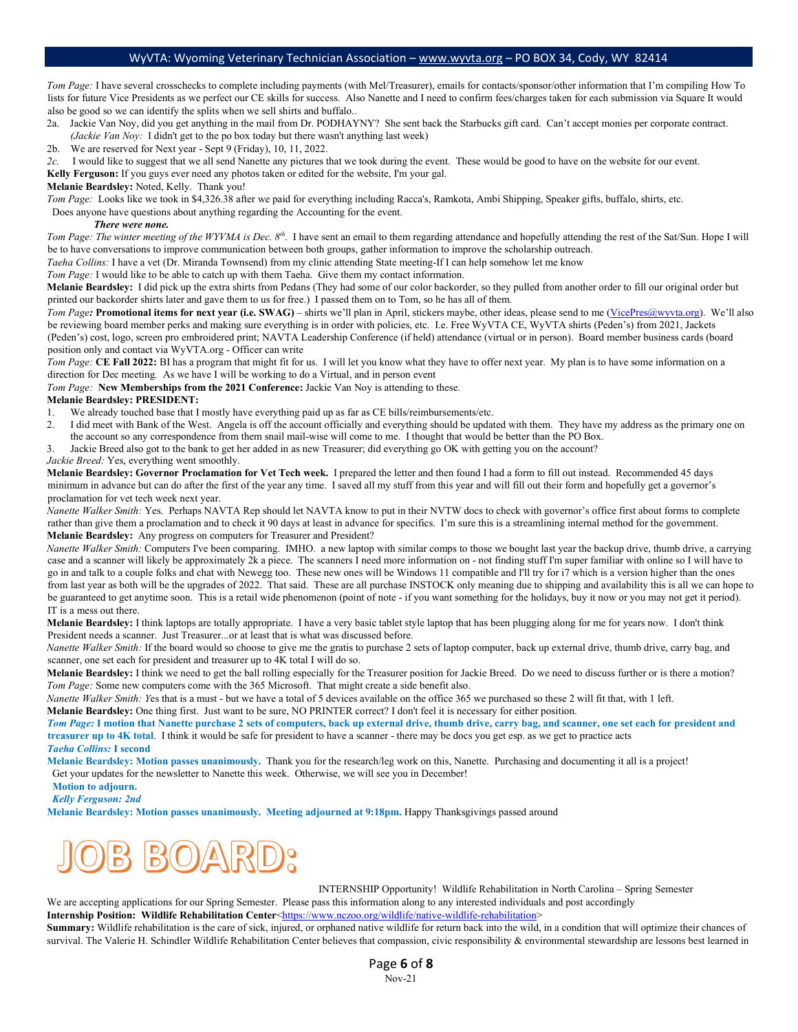*Tom Page:* I have several crosschecks to complete including payments (with Mel/Treasurer), emails for contacts/sponsor/other information that I'm compiling How To lists for future Vice Presidents as we perfect our CE skills for success. Also Nanette and I need to confirm fees/charges taken for each submission via Square It would also be good so we can identify the splits when we sell shirts and buffalo..

2a. Jackie Van Noy, did you get anything in the mail from Dr. PODHAYNY? She sent back the Starbucks gift card. Can't accept monies per corporate contract. *(Jackie Van Noy:* I didn't get to the po box today but there wasn't anything last week)

2b. We are reserved for Next year - Sept 9 (Friday), 10, 11, 2022.

*2c.* I would like to suggest that we all send Nanette any pictures that we took during the event. These would be good to have on the website for our event.

**Kelly Ferguson:** If you guys ever need any photos taken or edited for the website, I'm your gal.

### **Melanie Beardsley:** Noted, Kelly. Thank you!

*Tom Page:* Looks like we took in \$4,326.38 after we paid for everything including Racca's, Ramkota, Ambi Shipping, Speaker gifts, buffalo, shirts, etc.

Does anyone have questions about anything regarding the Accounting for the event.

#### *There were none.*

*Tom Page: The winter meeting of the WYVMA is Dec. 8<sup>th</sup>.* I have sent an email to them regarding attendance and hopefully attending the rest of the Sat/Sun. Hope I will be to have conversations to improve communication between both groups, gather information to improve the scholarship outreach.

*Taeha Collins:* I have a vet (Dr. Miranda Townsend) from my clinic attending State meeting-If I can help somehow let me know

*Tom Page:* I would like to be able to catch up with them Taeha. Give them my contact information.

**Melanie Beardsley:** I did pick up the extra shirts from Pedans (They had some of our color backorder, so they pulled from another order to fill our original order but printed our backorder shirts later and gave them to us for free.) I passed them on to Tom, so he has all of them.

*Tom Page:* **Promotional items for next year (i.e. SWAG)** – shirts we'll plan in April, stickers maybe, other ideas, please send to me [\(VicePres@wyvta.org\)](mailto:VicePres@wyvta.org). We'll also be reviewing board member perks and making sure everything is in order with policies, etc. I.e. Free WyVTA CE, WyVTA shirts (Peden's) from 2021, Jackets (Peden's) cost, logo, screen pro embroidered print; NAVTA Leadership Conference (if held) attendance (virtual or in person). Board member business cards (board position only and contact via WyVTA.org - Officer can write

*Tom Page:* **CE Fall 2022:** BI has a program that might fit for us. I will let you know what they have to offer next year. My plan is to have some information on a direction for Dec meeting. As we have I will be working to do a Virtual, and in person event

*Tom Page:* **New Memberships from the 2021 Conference:** Jackie Van Noy is attending to these.

## **Melanie Beardsley: PRESIDENT:**

- 1. We already touched base that I mostly have everything paid up as far as CE bills/reimbursements/etc.
- 2. I did meet with Bank of the West. Angela is off the account officially and everything should be updated with them. They have my address as the primary one on the account so any correspondence from them snail mail-wise will come to me. I thought that would be better than the PO Box.
- 3. Jackie Breed also got to the bank to get her added in as new Treasurer; did everything go OK with getting you on the account?

#### *Jackie Breed:* Yes, everything went smoothly.

**Melanie Beardsley: Governor Proclamation for Vet Tech week.** I prepared the letter and then found I had a form to fill out instead. Recommended 45 days minimum in advance but can do after the first of the year any time. I saved all my stuff from this year and will fill out their form and hopefully get a governor's proclamation for vet tech week next year.

*Nanette Walker Smith:* Yes. Perhaps NAVTA Rep should let NAVTA know to put in their NVTW docs to check with governor's office first about forms to complete rather than give them a proclamation and to check it 90 days at least in advance for specifics. I'm sure this is a streamlining internal method for the government. **Melanie Beardsley:** Any progress on computers for Treasurer and President?

*Nanette Walker Smith:* Computers I've been comparing. IMHO. a new laptop with similar comps to those we bought last year the backup drive, thumb drive, a carrying case and a scanner will likely be approximately 2k a piece. The scanners I need more information on - not finding stuff I'm super familiar with online so I will have to go in and talk to a couple folks and chat with Newegg too. These new ones will be Windows 11 compatible and I'll try for i7 which is a version higher than the ones from last year as both will be the upgrades of 2022. That said. These are all purchase INSTOCK only meaning due to shipping and availability this is all we can hope to be guaranteed to get anytime soon. This is a retail wide phenomenon (point of note - if you want something for the holidays, buy it now or you may not get it period). IT is a mess out there.

**Melanie Beardsley:** I think laptops are totally appropriate. I have a very basic tablet style laptop that has been plugging along for me for years now. I don't think President needs a scanner. Just Treasurer...or at least that is what was discussed before.

*Nanette Walker Smith:* If the board would so choose to give me the gratis to purchase 2 sets of laptop computer, back up external drive, thumb drive, carry bag, and scanner, one set each for president and treasurer up to 4K total I will do so.

**Melanie Beardsley:** I think we need to get the ball rolling especially for the Treasurer position for Jackie Breed. Do we need to discuss further or is there a motion? *Tom Page:* Some new computers come with the 365 Microsoft. That might create a side benefit also.

*Nanette Walker Smith: Y*es that is a must - but we have a total of 5 devices available on the office 365 we purchased so these 2 will fit that, with 1 left. **Melanie Beardsley:** One thing first. Just want to be sure, NO PRINTER correct? I don't feel it is necessary for either position.

*Tom Page:* **I motion that Nanette purchase 2 sets of computers, back up external drive, thumb drive, carry bag, and scanner, one set each for president and treasurer up to 4K total**. I think it would be safe for president to have a scanner - there may be docs you get esp. as we get to practice acts *Taeha Collins:* **I second**

**Melanie Beardsley: Motion passes unanimously.** Thank you for the research/leg work on this, Nanette. Purchasing and documenting it all is a project! Get your updates for the newsletter to Nanette this week. Otherwise, we will see you in December!

 **Motion to adjourn.**

 *Kelly Ferguson: 2nd*

**Melanie Beardsley: Motion passes unanimously. Meeting adjourned at 9:18pm.** Happy Thanksgivings passed around



INTERNSHIP Opportunity! Wildlife Rehabilitation in North Carolina – Spring Semester

We are accepting applications for our Spring Semester. Please pass this information along to any interested individuals and post accordingly **Internship Position: Wildlife Rehabilitation Center[<https://www.nczoo.org/wildlife/native-wildlife-rehabilitation>](https://www.nczoo.org/wildlife/native-wildlife-rehabilitation)** 

**Summary:** Wildlife rehabilitation is the care of sick, injured, or orphaned native wildlife for return back into the wild, in a condition that will optimize their chances of survival. The Valerie H. Schindler Wildlife Rehabilitation Center believes that compassion, civic responsibility & environmental stewardship are lessons best learned in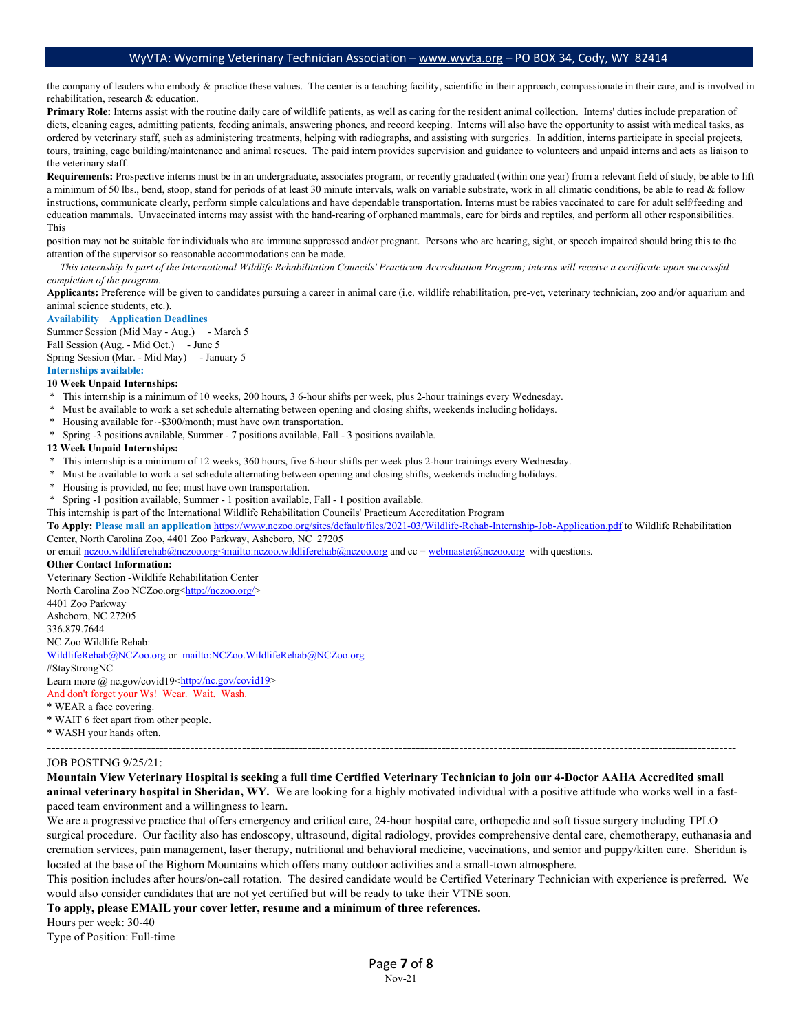the company of leaders who embody & practice these values. The center is a teaching facility, scientific in their approach, compassionate in their care, and is involved in rehabilitation, research & education.

**Primary Role:** Interns assist with the routine daily care of wildlife patients, as well as caring for the resident animal collection. Interns' duties include preparation of diets, cleaning cages, admitting patients, feeding animals, answering phones, and record keeping. Interns will also have the opportunity to assist with medical tasks, as ordered by veterinary staff, such as administering treatments, helping with radiographs, and assisting with surgeries. In addition, interns participate in special projects, tours, training, cage building/maintenance and animal rescues. The paid intern provides supervision and guidance to volunteers and unpaid interns and acts as liaison to the veterinary staff.

**Requirements:** Prospective interns must be in an undergraduate, associates program, or recently graduated (within one year) from a relevant field of study, be able to lift a minimum of 50 lbs., bend, stoop, stand for periods of at least 30 minute intervals, walk on variable substrate, work in all climatic conditions, be able to read & follow instructions, communicate clearly, perform simple calculations and have dependable transportation. Interns must be rabies vaccinated to care for adult self/feeding and education mammals. Unvaccinated interns may assist with the hand-rearing of orphaned mammals, care for birds and reptiles, and perform all other responsibilities. This

position may not be suitable for individuals who are immune suppressed and/or pregnant. Persons who are hearing, sight, or speech impaired should bring this to the attention of the supervisor so reasonable accommodations can be made.

 *This internship Is part of the International Wildlife Rehabilitation Councils' Practicum Accreditation Program; interns will receive a certificate upon successful completion of the program.*

**Applicants:** Preference will be given to candidates pursuing a career in animal care (i.e. wildlife rehabilitation, pre-vet, veterinary technician, zoo and/or aquarium and animal science students, etc.).

#### **Availability Application Deadlines**

Summer Session (Mid May - Aug.) - March 5 Fall Session (Aug. - Mid Oct.) - June 5 Spring Session (Mar. - Mid May) - January 5

**Internships available:**

#### **10 Week Unpaid Internships:**

- \* This internship is a minimum of 10 weeks, 200 hours, 3 6-hour shifts per week, plus 2-hour trainings every Wednesday.
- \* Must be available to work a set schedule alternating between opening and closing shifts, weekends including holidays.
- \* Housing available for ~\$300/month; must have own transportation.
- Spring -3 positions available, Summer 7 positions available, Fall 3 positions available.

#### **12 Week Unpaid Internships:**

- This internship is a minimum of 12 weeks, 360 hours, five 6-hour shifts per week plus 2-hour trainings every Wednesday.
- Must be available to work a set schedule alternating between opening and closing shifts, weekends including holidays.
- Housing is provided, no fee; must have own transportation.
- Spring -1 position available, Summer 1 position available, Fall 1 position available.
- This internship is part of the International Wildlife Rehabilitation Councils' Practicum Accreditation Program

**To Apply: Please mail an application** <https://www.nczoo.org/sites/default/files/2021-03/Wildlife-Rehab-Internship-Job-Application.pdf> to Wildlife Rehabilitation Center, North Carolina Zoo, 4401 Zoo Parkway, Asheboro, NC 27205

or email [nczoo.wildliferehab@nczoo.org<mailto:nczoo.wildliferehab@nczoo.org](mailto:nczoo.wildliferehab@nczoo.org%3cmailto:nczoo.wildliferehab@nczoo.org) and cc = [webmaster@nczoo.org](mailto:webmaster@nczoo.org) with questions.

#### **Other Contact Information:**

Veterinary Section -Wildlife Rehabilitation Center North Carolina Zoo NCZoo.org[<http://nczoo.org/>](http://nczoo.org/) 4401 Zoo Parkway Asheboro, NC 27205 336.879.7644 NC Zoo Wildlife Rehab: [WildlifeRehab@NCZoo.org](mailto:WildlifeRehab@NCZoo.org) or <mailto:NCZoo.WildlifeRehab@NCZoo.org> #StayStrongNC Learn more @ nc.gov/covid19[<http://nc.gov/covid19>](http://nc.gov/covid19) And don't forget your Ws! Wear. Wait. Wash.

\* WEAR a face covering.

\* WAIT 6 feet apart from other people. \* WASH your hands often.

# ---------------------------------------------------------------------------------------------------------------------------------------------------------------

#### JOB POSTING 9/25/21:

**Mountain View Veterinary Hospital is seeking a full time Certified Veterinary Technician to join our 4-Doctor AAHA Accredited small animal veterinary hospital in Sheridan, WY.** We are looking for a highly motivated individual with a positive attitude who works well in a fastpaced team environment and a willingness to learn.

We are a progressive practice that offers emergency and critical care, 24-hour hospital care, orthopedic and soft tissue surgery including TPLO surgical procedure. Our facility also has endoscopy, ultrasound, digital radiology, provides comprehensive dental care, chemotherapy, euthanasia and cremation services, pain management, laser therapy, nutritional and behavioral medicine, vaccinations, and senior and puppy/kitten care. Sheridan is located at the base of the Bighorn Mountains which offers many outdoor activities and a small-town atmosphere.

This position includes after hours/on-call rotation. The desired candidate would be Certified Veterinary Technician with experience is preferred. We would also consider candidates that are not yet certified but will be ready to take their VTNE soon.

**To apply, please EMAIL your cover letter, resume and a minimum of three references.** 

Hours per week: 30-40

Type of Position: Full-time